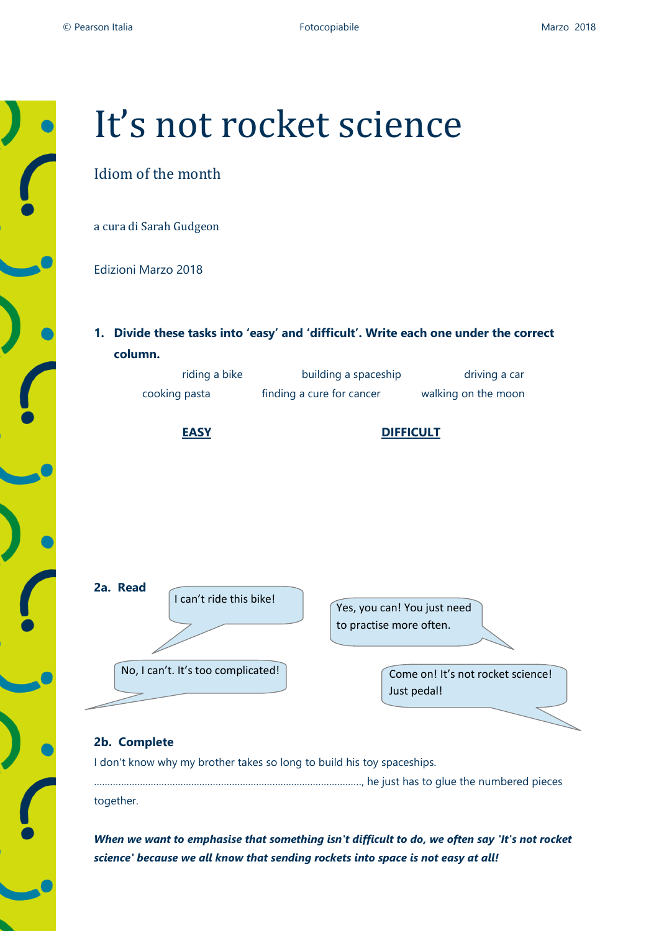

# It's not rocket science

# Idiom of the month

a cura di Sarah Gudgeon

Edizioni Marzo 2018

**1. Divide these tasks into 'easy' and 'difficult'. Write each one under the correct column.**

| riding a bike | building a spaceship      | driving a car       |
|---------------|---------------------------|---------------------|
| cooking pasta | finding a cure for cancer | walking on the moon |





## **2b. Complete**

I don't know why my brother takes so long to build his toy spaceships.

………………………………………………………………………………………, he just has to glue the numbered pieces together.

*When we want to emphasise that something isn't difficult to do, we often say 'It's not rocket science' because we all know that sending rockets into space is not easy at all!*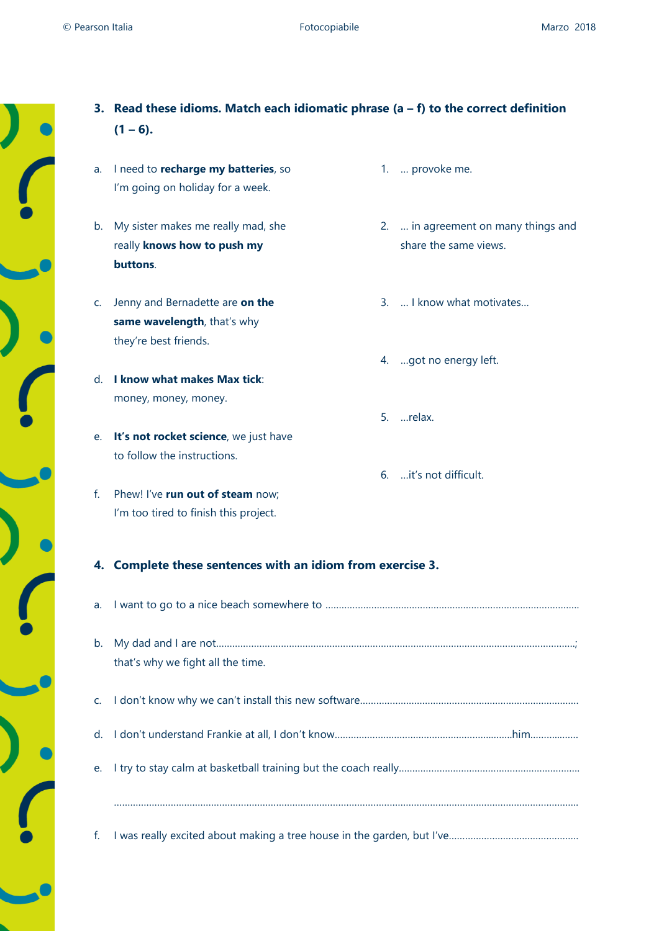$\overline{\phantom{a}}$ 

| a.           | I need to recharge my batteries, so<br>I'm going on holiday for a week.<br>b. My sister makes me really mad, she |  | 1.  provoke me.                     |
|--------------|------------------------------------------------------------------------------------------------------------------|--|-------------------------------------|
|              |                                                                                                                  |  |                                     |
|              |                                                                                                                  |  |                                     |
|              |                                                                                                                  |  | 2.  in agreement on many things and |
|              | really knows how to push my                                                                                      |  | share the same views.               |
|              | buttons.                                                                                                         |  |                                     |
| C.           | Jenny and Bernadette are on the                                                                                  |  | 3.  I know what motivates           |
|              | same wavelength, that's why                                                                                      |  |                                     |
|              | they're best friends.                                                                                            |  |                                     |
|              |                                                                                                                  |  | 4. got no energy left.              |
|              | d. I know what makes Max tick:                                                                                   |  |                                     |
|              | money, money, money.                                                                                             |  |                                     |
|              |                                                                                                                  |  | 5. relax.                           |
|              | e. It's not rocket science, we just have                                                                         |  |                                     |
|              | to follow the instructions.                                                                                      |  |                                     |
|              |                                                                                                                  |  | 6.  it's not difficult.             |
| $f_{\rm{r}}$ | Phew! I've run out of steam now;                                                                                 |  |                                     |
|              | I'm too tired to finish this project.                                                                            |  |                                     |
|              | 4. Complete these sentences with an idiom from exercise 3.                                                       |  |                                     |
| a.           |                                                                                                                  |  |                                     |
| b.           |                                                                                                                  |  |                                     |
|              | that's why we fight all the time.                                                                                |  |                                     |
| C.           |                                                                                                                  |  |                                     |
| d.           |                                                                                                                  |  |                                     |
| е.           |                                                                                                                  |  |                                     |
|              |                                                                                                                  |  |                                     |